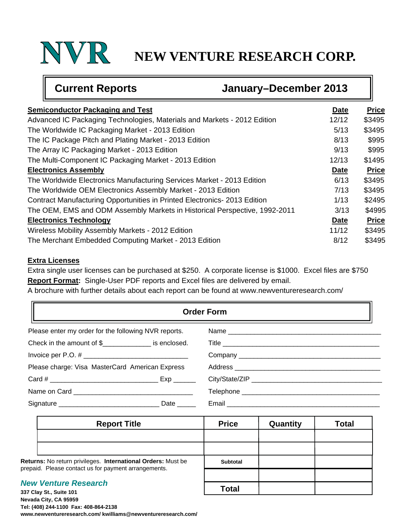# **NEW VENTURE RESEARCH CORP.**

| <b>Current Reports</b><br>January-December 2013                            |             |              |  |
|----------------------------------------------------------------------------|-------------|--------------|--|
| <b>Semiconductor Packaging and Test</b>                                    | <b>Date</b> | <b>Price</b> |  |
| Advanced IC Packaging Technologies, Materials and Markets - 2012 Edition   | 12/12       | \$3495       |  |
| The Worldwide IC Packaging Market - 2013 Edition                           | 5/13        | \$3495       |  |
| The IC Package Pitch and Plating Market - 2013 Edition                     | 8/13        | \$995        |  |
| The Array IC Packaging Market - 2013 Edition                               | 9/13        | \$995        |  |
| The Multi-Component IC Packaging Market - 2013 Edition                     | 12/13       | \$1495       |  |
| <b>Electronics Assembly</b>                                                | Date        | <b>Price</b> |  |
| The Worldwide Electronics Manufacturing Services Market - 2013 Edition     | 6/13        | \$3495       |  |
| The Worldwide OEM Electronics Assembly Market - 2013 Edition               | 7/13        | \$3495       |  |
| Contract Manufacturing Opportunities in Printed Electronics-2013 Edition   | 1/13        | \$2495       |  |
| The OEM, EMS and ODM Assembly Markets in Historical Perspective, 1992-2011 | 3/13        | \$4995       |  |
| <b>Electronics Technology</b>                                              | <b>Date</b> | <b>Price</b> |  |
| Wireless Mobility Assembly Markets - 2012 Edition                          | 11/12       | \$3495       |  |
| The Merchant Embedded Computing Market - 2013 Edition                      | 8/12        | \$3495       |  |

## **Extra Licenses**

Extra single user licenses can be purchased at \$250. A corporate license is \$1000. Excel files are \$750 **Report Format:** Single-User PDF reports and Excel files are delivered by email.

A brochure with further details about each report can be found at www.newventureresearch.com/

| <b>Order Form</b>                                    |                                                                                                                                                                                                                                |
|------------------------------------------------------|--------------------------------------------------------------------------------------------------------------------------------------------------------------------------------------------------------------------------------|
| Please enter my order for the following NVR reports. | Name                                                                                                                                                                                                                           |
| Check in the amount of \$                            |                                                                                                                                                                                                                                |
|                                                      |                                                                                                                                                                                                                                |
| Please charge: Visa MasterCard American Express      |                                                                                                                                                                                                                                |
|                                                      |                                                                                                                                                                                                                                |
|                                                      |                                                                                                                                                                                                                                |
| Date _____                                           | Email Look Contains and Containing the Contact of the Contact of the Contact of the Contact of the Contact of the Contact of the Contact of the Contact of the Contact of the Contact of the Contact of the Contact of the Con |

| <b>Report Title</b>                                                                                                  | <b>Price</b>    | Quantity | <b>Total</b> |
|----------------------------------------------------------------------------------------------------------------------|-----------------|----------|--------------|
|                                                                                                                      |                 |          |              |
|                                                                                                                      |                 |          |              |
| Returns: No return privileges. International Orders: Must be<br>prepaid. Please contact us for payment arrangements. | <b>Subtotal</b> |          |              |
|                                                                                                                      |                 |          |              |
| <b>New Venture Research</b><br>337 Clay St Suite 101                                                                 | Total           |          |              |